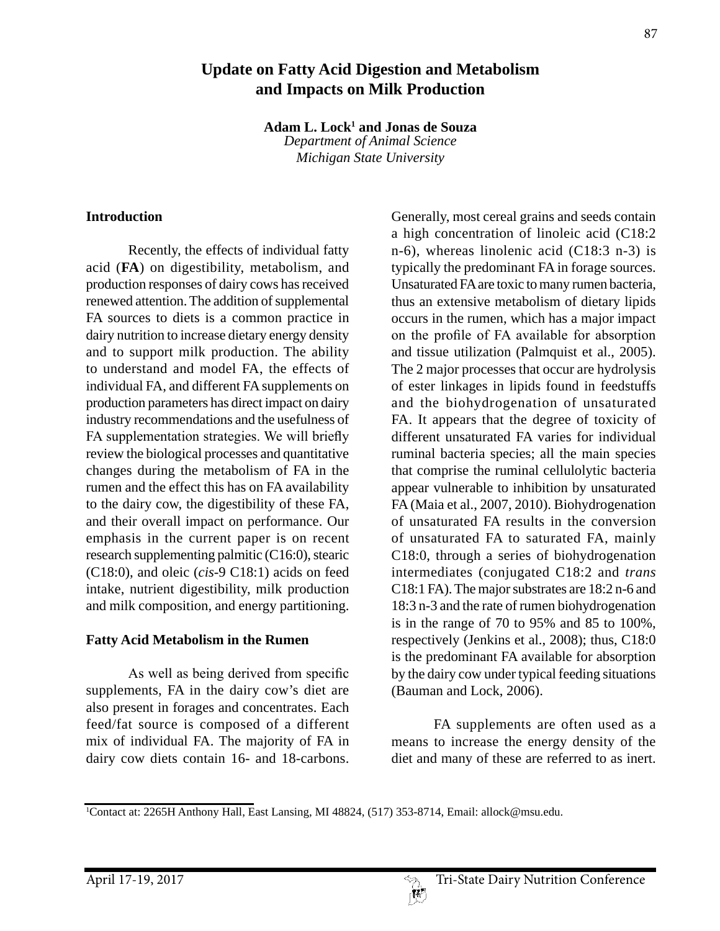# **Update on Fatty Acid Digestion and Metabolism and Impacts on Milk Production**

**Adam L. Lock1 and Jonas de Souza** *Department of Animal Science*

*Michigan State University*

#### **Introduction**

Recently, the effects of individual fatty acid (**FA**) on digestibility, metabolism, and production responses of dairy cows has received renewed attention. The addition of supplemental FA sources to diets is a common practice in dairy nutrition to increase dietary energy density and to support milk production. The ability to understand and model FA, the effects of individual FA, and different FA supplements on production parameters has direct impact on dairy industry recommendations and the usefulness of FA supplementation strategies. We will briefly review the biological processes and quantitative changes during the metabolism of FA in the rumen and the effect this has on FA availability to the dairy cow, the digestibility of these FA, and their overall impact on performance. Our emphasis in the current paper is on recent research supplementing palmitic (C16:0), stearic (C18:0), and oleic (*cis*-9 C18:1) acids on feed intake, nutrient digestibility, milk production and milk composition, and energy partitioning.

## **Fatty Acid Metabolism in the Rumen**

As well as being derived from specific supplements, FA in the dairy cow's diet are also present in forages and concentrates. Each feed/fat source is composed of a different mix of individual FA. The majority of FA in dairy cow diets contain 16- and 18-carbons.

Generally, most cereal grains and seeds contain a high concentration of linoleic acid (C18:2 n-6), whereas linolenic acid (C18:3 n-3) is typically the predominant FA in forage sources. Unsaturated FA are toxic to many rumen bacteria, thus an extensive metabolism of dietary lipids occurs in the rumen, which has a major impact on the profile of FA available for absorption and tissue utilization (Palmquist et al., 2005). The 2 major processes that occur are hydrolysis of ester linkages in lipids found in feedstuffs and the biohydrogenation of unsaturated FA. It appears that the degree of toxicity of different unsaturated FA varies for individual ruminal bacteria species; all the main species that comprise the ruminal cellulolytic bacteria appear vulnerable to inhibition by unsaturated FA (Maia et al., 2007, 2010). Biohydrogenation of unsaturated FA results in the conversion of unsaturated FA to saturated FA, mainly C18:0, through a series of biohydrogenation intermediates (conjugated C18:2 and *trans* C18:1 FA). The major substrates are 18:2 n-6 and 18:3 n-3 and the rate of rumen biohydrogenation is in the range of 70 to 95% and 85 to 100%, respectively (Jenkins et al., 2008); thus, C18:0 is the predominant FA available for absorption by the dairy cow under typical feeding situations (Bauman and Lock, 2006).

FA supplements are often used as a means to increase the energy density of the diet and many of these are referred to as inert.

<sup>1</sup> Contact at: 2265H Anthony Hall, East Lansing, MI 48824, (517) 353-8714, Email: allock@msu.edu.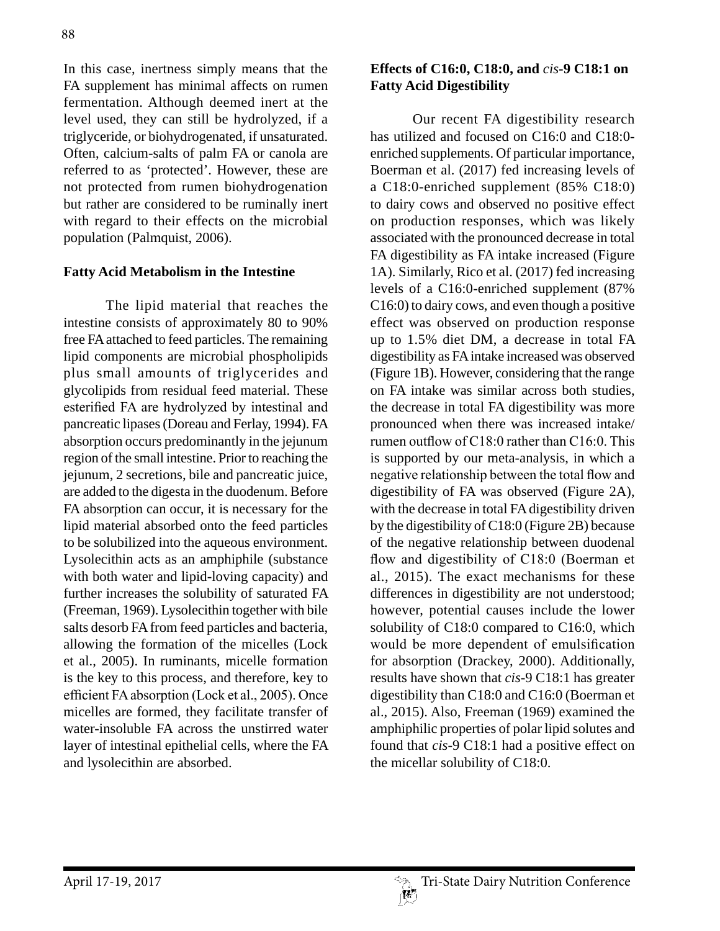In this case, inertness simply means that the FA supplement has minimal affects on rumen fermentation. Although deemed inert at the level used, they can still be hydrolyzed, if a triglyceride, or biohydrogenated, if unsaturated. Often, calcium-salts of palm FA or canola are referred to as 'protected'. However, these are not protected from rumen biohydrogenation but rather are considered to be ruminally inert with regard to their effects on the microbial population (Palmquist, 2006).

## **Fatty Acid Metabolism in the Intestine**

The lipid material that reaches the intestine consists of approximately 80 to 90% free FA attached to feed particles. The remaining lipid components are microbial phospholipids plus small amounts of triglycerides and glycolipids from residual feed material. These esterified FA are hydrolyzed by intestinal and pancreatic lipases (Doreau and Ferlay, 1994). FA absorption occurs predominantly in the jejunum region of the small intestine. Prior to reaching the jejunum, 2 secretions, bile and pancreatic juice, are added to the digesta in the duodenum. Before FA absorption can occur, it is necessary for the lipid material absorbed onto the feed particles to be solubilized into the aqueous environment. Lysolecithin acts as an amphiphile (substance with both water and lipid-loving capacity) and further increases the solubility of saturated FA (Freeman, 1969). Lysolecithin together with bile salts desorb FA from feed particles and bacteria, allowing the formation of the micelles (Lock et al., 2005). In ruminants, micelle formation is the key to this process, and therefore, key to efficient FA absorption (Lock et al., 2005). Once micelles are formed, they facilitate transfer of water-insoluble FA across the unstirred water layer of intestinal epithelial cells, where the FA and lysolecithin are absorbed.

## **Effects of C16:0, C18:0, and** *cis***-9 C18:1 on Fatty Acid Digestibility**

Our recent FA digestibility research has utilized and focused on C16:0 and C18:0 enriched supplements. Of particular importance, Boerman et al. (2017) fed increasing levels of a C18:0-enriched supplement (85% C18:0) to dairy cows and observed no positive effect on production responses, which was likely associated with the pronounced decrease in total FA digestibility as FA intake increased (Figure 1A). Similarly, Rico et al. (2017) fed increasing levels of a C16:0-enriched supplement (87% C16:0) to dairy cows, and even though a positive effect was observed on production response up to 1.5% diet DM, a decrease in total FA digestibility as FA intake increased was observed (Figure 1B). However, considering that the range on FA intake was similar across both studies, the decrease in total FA digestibility was more pronounced when there was increased intake/ rumen outflow of C18:0 rather than C16:0. This is supported by our meta-analysis, in which a negative relationship between the total flow and digestibility of FA was observed (Figure 2A), with the decrease in total FA digestibility driven by the digestibility of C18:0 (Figure 2B) because of the negative relationship between duodenal flow and digestibility of C18:0 (Boerman et al., 2015). The exact mechanisms for these differences in digestibility are not understood; however, potential causes include the lower solubility of C18:0 compared to C16:0, which would be more dependent of emulsification for absorption (Drackey, 2000). Additionally, results have shown that *cis*-9 C18:1 has greater digestibility than C18:0 and C16:0 (Boerman et al., 2015). Also, Freeman (1969) examined the amphiphilic properties of polar lipid solutes and found that *cis*-9 C18:1 had a positive effect on the micellar solubility of C18:0.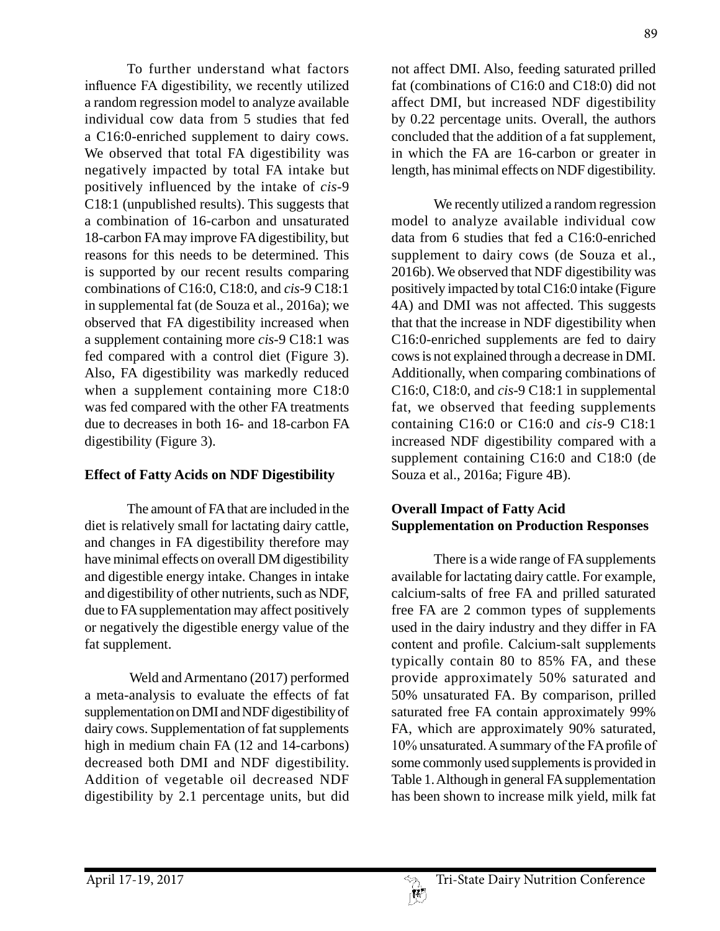To further understand what factors influence FA digestibility, we recently utilized a random regression model to analyze available individual cow data from 5 studies that fed a C16:0-enriched supplement to dairy cows. We observed that total FA digestibility was negatively impacted by total FA intake but positively influenced by the intake of *cis*-9 C18:1 (unpublished results). This suggests that a combination of 16-carbon and unsaturated 18-carbon FA may improve FA digestibility, but reasons for this needs to be determined. This is supported by our recent results comparing combinations of C16:0, C18:0, and *cis*-9 C18:1 in supplemental fat (de Souza et al., 2016a); we observed that FA digestibility increased when a supplement containing more *cis*-9 C18:1 was fed compared with a control diet (Figure 3). Also, FA digestibility was markedly reduced when a supplement containing more C18:0 was fed compared with the other FA treatments due to decreases in both 16- and 18-carbon FA digestibility (Figure 3).

## **Effect of Fatty Acids on NDF Digestibility**

The amount of FA that are included in the diet is relatively small for lactating dairy cattle, and changes in FA digestibility therefore may have minimal effects on overall DM digestibility and digestible energy intake. Changes in intake and digestibility of other nutrients, such as NDF, due to FA supplementation may affect positively or negatively the digestible energy value of the fat supplement.

 Weld and Armentano (2017) performed a meta-analysis to evaluate the effects of fat supplementation on DMI and NDF digestibility of dairy cows. Supplementation of fat supplements high in medium chain FA (12 and 14-carbons) decreased both DMI and NDF digestibility. Addition of vegetable oil decreased NDF digestibility by 2.1 percentage units, but did

not affect DMI. Also, feeding saturated prilled fat (combinations of C16:0 and C18:0) did not affect DMI, but increased NDF digestibility by 0.22 percentage units. Overall, the authors concluded that the addition of a fat supplement, in which the FA are 16-carbon or greater in length, has minimal effects on NDF digestibility.

We recently utilized a random regression model to analyze available individual cow data from 6 studies that fed a C16:0-enriched supplement to dairy cows (de Souza et al., 2016b). We observed that NDF digestibility was positively impacted by total C16:0 intake (Figure 4A) and DMI was not affected. This suggests that that the increase in NDF digestibility when C16:0-enriched supplements are fed to dairy cows is not explained through a decrease in DMI. Additionally, when comparing combinations of C16:0, C18:0, and *cis*-9 C18:1 in supplemental fat, we observed that feeding supplements containing C16:0 or C16:0 and *cis*-9 C18:1 increased NDF digestibility compared with a supplement containing C16:0 and C18:0 (de Souza et al., 2016a; Figure 4B).

## **Overall Impact of Fatty Acid Supplementation on Production Responses**

There is a wide range of FA supplements available for lactating dairy cattle. For example, calcium-salts of free FA and prilled saturated free FA are 2 common types of supplements used in the dairy industry and they differ in FA content and profile. Calcium-salt supplements typically contain 80 to 85% FA, and these provide approximately 50% saturated and 50% unsaturated FA. By comparison, prilled saturated free FA contain approximately 99% FA, which are approximately 90% saturated, 10% unsaturated. A summary of the FA profile of some commonly used supplements is provided in Table 1. Although in general FA supplementation has been shown to increase milk yield, milk fat

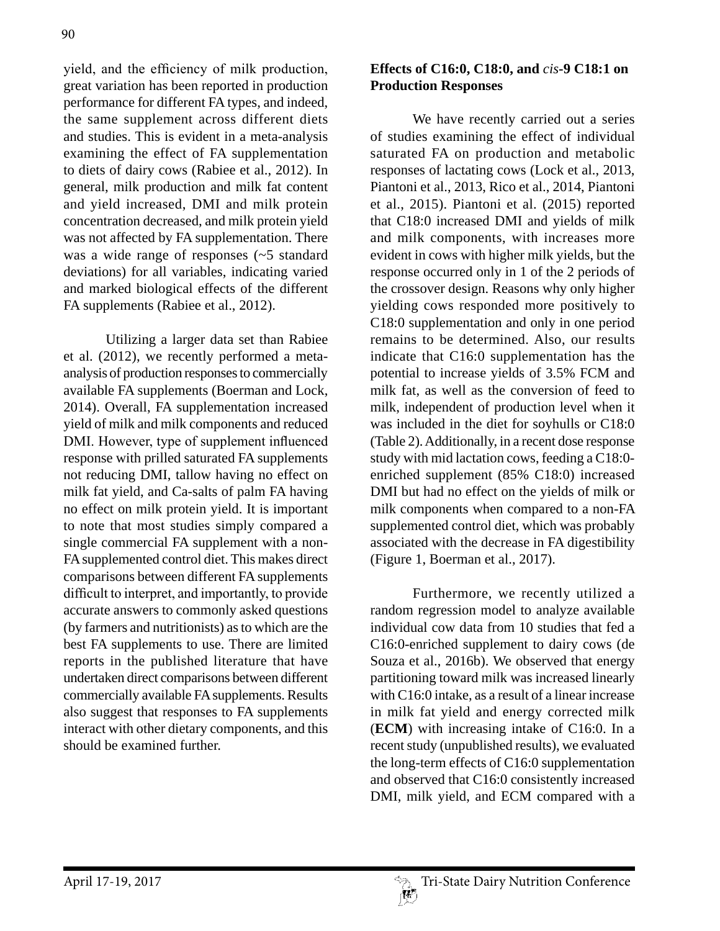yield, and the efficiency of milk production, great variation has been reported in production performance for different FA types, and indeed, the same supplement across different diets and studies. This is evident in a meta-analysis examining the effect of FA supplementation to diets of dairy cows (Rabiee et al., 2012). In general, milk production and milk fat content and yield increased, DMI and milk protein concentration decreased, and milk protein yield was not affected by FA supplementation. There was a wide range of responses (~5 standard deviations) for all variables, indicating varied and marked biological effects of the different FA supplements (Rabiee et al., 2012).

Utilizing a larger data set than Rabiee et al. (2012), we recently performed a metaanalysis of production responses to commercially available FA supplements (Boerman and Lock, 2014). Overall, FA supplementation increased yield of milk and milk components and reduced DMI. However, type of supplement influenced response with prilled saturated FA supplements not reducing DMI, tallow having no effect on milk fat yield, and Ca-salts of palm FA having no effect on milk protein yield. It is important to note that most studies simply compared a single commercial FA supplement with a non-FA supplemented control diet. This makes direct comparisons between different FA supplements difficult to interpret, and importantly, to provide accurate answers to commonly asked questions (by farmers and nutritionists) as to which are the best FA supplements to use. There are limited reports in the published literature that have undertaken direct comparisons between different commercially available FA supplements. Results also suggest that responses to FA supplements interact with other dietary components, and this should be examined further.

# **Effects of C16:0, C18:0, and** *cis***-9 C18:1 on Production Responses**

We have recently carried out a series of studies examining the effect of individual saturated FA on production and metabolic responses of lactating cows (Lock et al., 2013, Piantoni et al., 2013, Rico et al., 2014, Piantoni et al., 2015). Piantoni et al. (2015) reported that C18:0 increased DMI and yields of milk and milk components, with increases more evident in cows with higher milk yields, but the response occurred only in 1 of the 2 periods of the crossover design. Reasons why only higher yielding cows responded more positively to C18:0 supplementation and only in one period remains to be determined. Also, our results indicate that C16:0 supplementation has the potential to increase yields of 3.5% FCM and milk fat, as well as the conversion of feed to milk, independent of production level when it was included in the diet for soyhulls or C18:0 (Table 2). Additionally, in a recent dose response study with mid lactation cows, feeding a C18:0 enriched supplement (85% C18:0) increased DMI but had no effect on the yields of milk or milk components when compared to a non-FA supplemented control diet, which was probably associated with the decrease in FA digestibility (Figure 1, Boerman et al., 2017).

Furthermore, we recently utilized a random regression model to analyze available individual cow data from 10 studies that fed a C16:0-enriched supplement to dairy cows (de Souza et al., 2016b). We observed that energy partitioning toward milk was increased linearly with C16:0 intake, as a result of a linear increase in milk fat yield and energy corrected milk (**ECM**) with increasing intake of C16:0. In a recent study (unpublished results), we evaluated the long-term effects of C16:0 supplementation and observed that C16:0 consistently increased DMI, milk yield, and ECM compared with a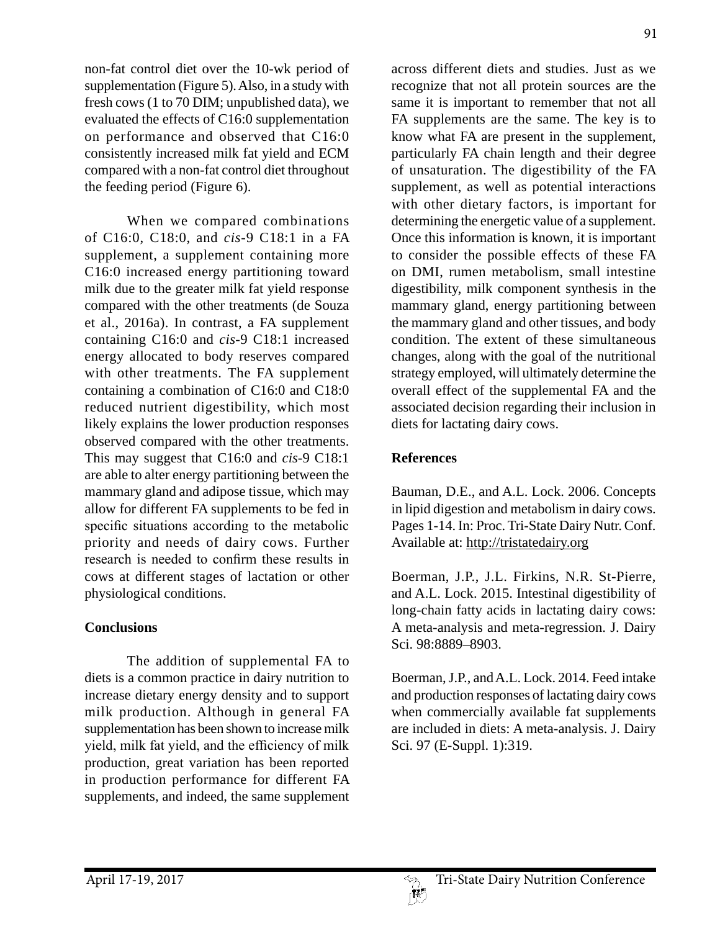non-fat control diet over the 10-wk period of supplementation (Figure 5). Also, in a study with fresh cows (1 to 70 DIM; unpublished data), we evaluated the effects of C16:0 supplementation on performance and observed that C16:0 consistently increased milk fat yield and ECM compared with a non-fat control diet throughout the feeding period (Figure 6).

When we compared combinations of C16:0, C18:0, and *cis*-9 C18:1 in a FA supplement, a supplement containing more C16:0 increased energy partitioning toward milk due to the greater milk fat yield response compared with the other treatments (de Souza et al., 2016a). In contrast, a FA supplement containing C16:0 and *cis*-9 C18:1 increased energy allocated to body reserves compared with other treatments. The FA supplement containing a combination of C16:0 and C18:0 reduced nutrient digestibility, which most likely explains the lower production responses observed compared with the other treatments. This may suggest that C16:0 and *cis*-9 C18:1 are able to alter energy partitioning between the mammary gland and adipose tissue, which may allow for different FA supplements to be fed in specific situations according to the metabolic priority and needs of dairy cows. Further research is needed to confirm these results in cows at different stages of lactation or other physiological conditions.

#### **Conclusions**

The addition of supplemental FA to diets is a common practice in dairy nutrition to increase dietary energy density and to support milk production. Although in general FA supplementation has been shown to increase milk yield, milk fat yield, and the efficiency of milk production, great variation has been reported in production performance for different FA supplements, and indeed, the same supplement

91

across different diets and studies. Just as we recognize that not all protein sources are the same it is important to remember that not all FA supplements are the same. The key is to know what FA are present in the supplement, particularly FA chain length and their degree of unsaturation. The digestibility of the FA supplement, as well as potential interactions with other dietary factors, is important for determining the energetic value of a supplement. Once this information is known, it is important to consider the possible effects of these FA on DMI, rumen metabolism, small intestine digestibility, milk component synthesis in the mammary gland, energy partitioning between the mammary gland and other tissues, and body condition. The extent of these simultaneous changes, along with the goal of the nutritional strategy employed, will ultimately determine the overall effect of the supplemental FA and the associated decision regarding their inclusion in diets for lactating dairy cows.

# **References**

Bauman, D.E., and A.L. Lock. 2006. Concepts in lipid digestion and metabolism in dairy cows. Pages 1-14. In: Proc. Tri-State Dairy Nutr. Conf. Available at: http://tristatedairy.org

Boerman, J.P., J.L. Firkins, N.R. St-Pierre, and A.L. Lock. 2015. Intestinal digestibility of long-chain fatty acids in lactating dairy cows: A meta-analysis and meta-regression. J. Dairy Sci. 98:8889–8903.

Boerman, J.P., and A.L. Lock. 2014. Feed intake and production responses of lactating dairy cows when commercially available fat supplements are included in diets: A meta-analysis. J. Dairy Sci. 97 (E-Suppl. 1):319.

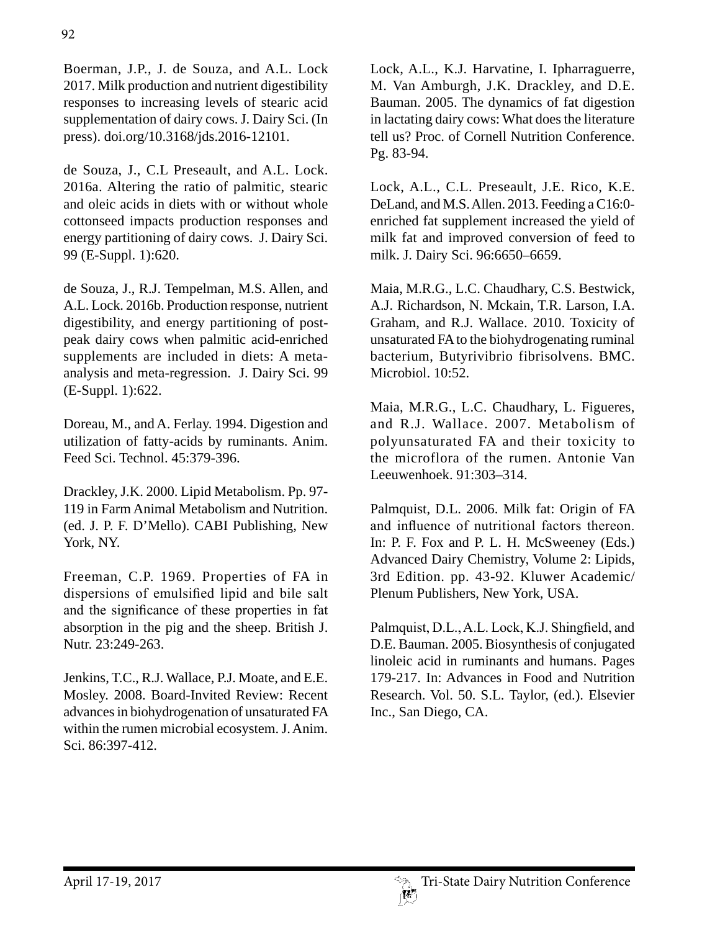Boerman, J.P., J. de Souza, and A.L. Lock 2017. Milk production and nutrient digestibility responses to increasing levels of stearic acid supplementation of dairy cows. J. Dairy Sci. (In press). doi.org/10.3168/jds.2016-12101.

de Souza, J., C.L Preseault, and A.L. Lock. 2016a. Altering the ratio of palmitic, stearic and oleic acids in diets with or without whole cottonseed impacts production responses and energy partitioning of dairy cows. J. Dairy Sci. 99 (E-Suppl. 1):620.

de Souza, J., R.J. Tempelman, M.S. Allen, and A.L. Lock. 2016b. Production response, nutrient digestibility, and energy partitioning of postpeak dairy cows when palmitic acid-enriched supplements are included in diets: A metaanalysis and meta-regression. J. Dairy Sci. 99 (E-Suppl. 1):622.

Doreau, M., and A. Ferlay. 1994. Digestion and utilization of fatty-acids by ruminants. Anim. Feed Sci. Technol. 45:379-396.

Drackley, J.K. 2000. Lipid Metabolism. Pp. 97- 119 in Farm Animal Metabolism and Nutrition. (ed. J. P. F. D'Mello). CABI Publishing, New York, NY.

Freeman, C.P. 1969. Properties of FA in dispersions of emulsified lipid and bile salt and the significance of these properties in fat absorption in the pig and the sheep. British J. Nutr. 23:249-263.

Jenkins, T.C., R.J. Wallace, P.J. Moate, and E.E. Mosley. 2008. Board-Invited Review: Recent advances in biohydrogenation of unsaturated FA within the rumen microbial ecosystem. J. Anim. Sci. 86:397-412.

Lock, A.L., K.J. Harvatine, I. Ipharraguerre, M. Van Amburgh, J.K. Drackley, and D.E. Bauman. 2005. The dynamics of fat digestion in lactating dairy cows: What does the literature tell us? Proc. of Cornell Nutrition Conference. Pg. 83-94.

Lock, A.L., C.L. Preseault, J.E. Rico, K.E. DeLand, and M.S. Allen. 2013. Feeding a C16:0 enriched fat supplement increased the yield of milk fat and improved conversion of feed to milk. J. Dairy Sci. 96:6650–6659.

Maia, M.R.G., L.C. Chaudhary, C.S. Bestwick, A.J. Richardson, N. Mckain, T.R. Larson, I.A. Graham, and R.J. Wallace. 2010. Toxicity of unsaturated FA to the biohydrogenating ruminal bacterium, Butyrivibrio fibrisolvens. BMC. Microbiol. 10:52.

Maia, M.R.G., L.C. Chaudhary, L. Figueres, and R.J. Wallace. 2007. Metabolism of polyunsaturated FA and their toxicity to the microflora of the rumen. Antonie Van Leeuwenhoek. 91:303–314.

Palmquist, D.L. 2006. Milk fat: Origin of FA and influence of nutritional factors thereon. In: P. F. Fox and P. L. H. McSweeney (Eds.) Advanced Dairy Chemistry, Volume 2: Lipids, 3rd Edition. pp. 43-92. Kluwer Academic/ Plenum Publishers, New York, USA.

Palmquist, D.L., A.L. Lock, K.J. Shingfield, and D.E. Bauman. 2005. Biosynthesis of conjugated linoleic acid in ruminants and humans. Pages 179-217. In: Advances in Food and Nutrition Research. Vol. 50. S.L. Taylor, (ed.). Elsevier Inc., San Diego, CA.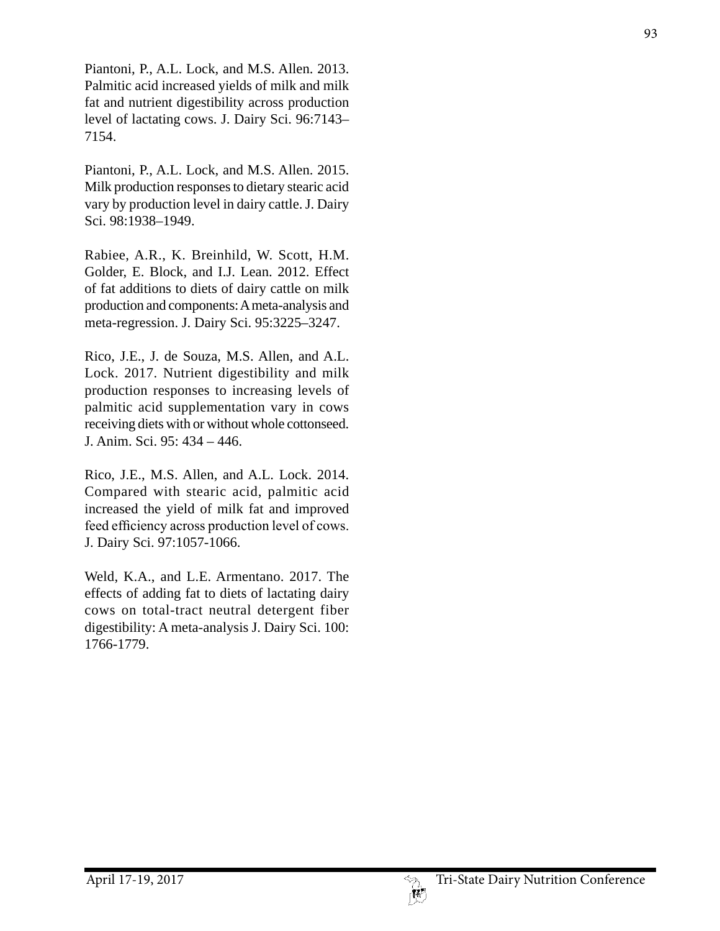Piantoni, P., A.L. Lock, and M.S. Allen. 2013. Palmitic acid increased yields of milk and milk fat and nutrient digestibility across production level of lactating cows. J. Dairy Sci. 96:7143– 7154.

Piantoni, P., A.L. Lock, and M.S. Allen. 2015. Milk production responses to dietary stearic acid vary by production level in dairy cattle. J. Dairy Sci. 98:1938–1949.

Rabiee, A.R., K. Breinhild, W. Scott, H.M. Golder, E. Block, and I.J. Lean. 2012. Effect of fat additions to diets of dairy cattle on milk production and components: A meta-analysis and meta-regression. J. Dairy Sci. 95:3225–3247.

Rico, J.E., J. de Souza, M.S. Allen, and A.L. Lock. 2017. Nutrient digestibility and milk production responses to increasing levels of palmitic acid supplementation vary in cows receiving diets with or without whole cottonseed. J. Anim. Sci. 95: 434 – 446.

Rico, J.E., M.S. Allen, and A.L. Lock. 2014. Compared with stearic acid, palmitic acid increased the yield of milk fat and improved feed efficiency across production level of cows. J. Dairy Sci. 97:1057-1066.

Weld, K.A., and L.E. Armentano. 2017. The effects of adding fat to diets of lactating dairy cows on total-tract neutral detergent fiber digestibility: A meta-analysis J. Dairy Sci. 100: 1766-1779.

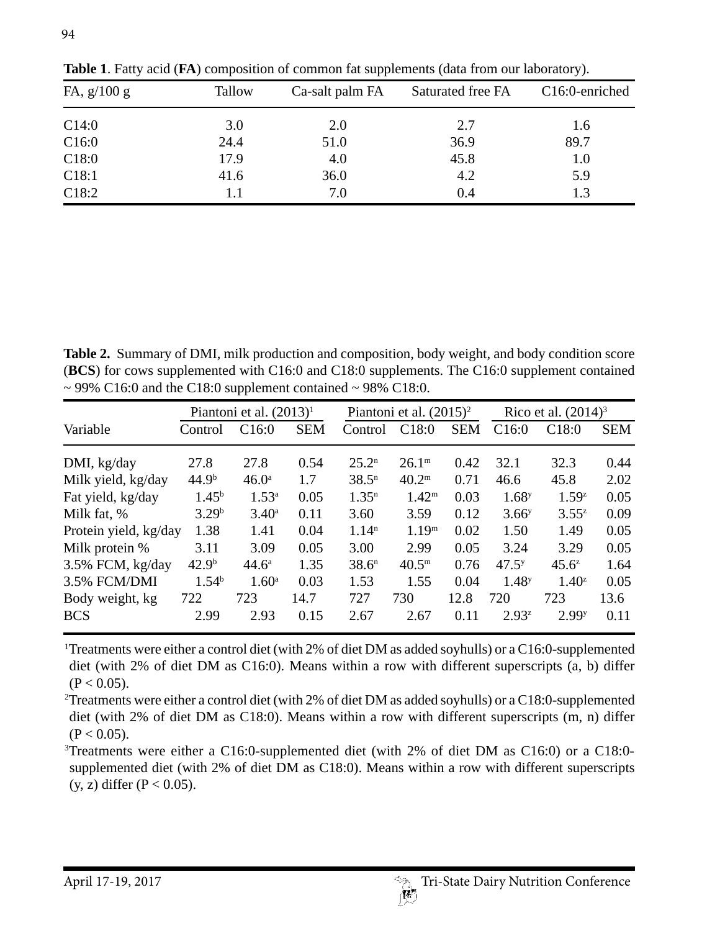| FA, $g/100 g$ | Tallow | Ca-salt palm FA | Saturated free FA | C16:0-enriched |  |  |
|---------------|--------|-----------------|-------------------|----------------|--|--|
| C14:0         | 3.0    | 2.0             | 2.7               | 1.6            |  |  |
| C16:0         | 24.4   | 51.0            | 36.9              | 89.7           |  |  |
| C18:0         | 17.9   | 4.0             | 45.8              | 1.0            |  |  |
| C18:1         | 41.6   | 36.0            | 4.2               | 5.9            |  |  |
| C18:2         | 1.1    | 7.0             | 0.4               | 1.3            |  |  |

**Table 1**. Fatty acid (**FA**) composition of common fat supplements (data from our laboratory).

**Table 2.** Summary of DMI, milk production and composition, body weight, and body condition score (**BCS**) for cows supplemented with C16:0 and C18:0 supplements. The C16:0 supplement contained  $\sim$  99% C16:0 and the C18:0 supplement contained  $\sim$  98% C18:0.

|                       | Piantoni et al. $(2013)^1$ |                   | Piantoni et al. $(2015)^2$ |                   | Rico et al. $(2014)^3$ |            |                   |                   |            |
|-----------------------|----------------------------|-------------------|----------------------------|-------------------|------------------------|------------|-------------------|-------------------|------------|
| Variable              | Control                    | C16:0             | <b>SEM</b>                 | Control           | C18:0                  | <b>SEM</b> | C16:0             | C18:0             | <b>SEM</b> |
| DMI, kg/day           | 27.8                       | 27.8              | 0.54                       | $25.2^n$          | 26.1 <sup>m</sup>      | 0.42       | 32.1              | 32.3              | 0.44       |
| Milk yield, kg/day    | 44.9 <sup>b</sup>          | 46.0 <sup>a</sup> | 1.7                        | 38.5 <sup>n</sup> | $40.2^{\rm m}$         | 0.71       | 46.6              | 45.8              | 2.02       |
| Fat yield, kg/day     | $1.45^{b}$                 | $1.53^{\circ}$    | 0.05                       | 1.35 <sup>n</sup> | $1.42^{\rm m}$         | 0.03       | 1.68 <sup>y</sup> | $1.59^{z}$        | 0.05       |
| Milk fat, %           | 3.29 <sup>b</sup>          | $3.40^{\rm a}$    | 0.11                       | 3.60              | 3.59                   | 0.12       | 3.66 <sup>y</sup> | $3.55^z$          | 0.09       |
| Protein yield, kg/day | 1.38                       | 1.41              | 0.04                       | 1.14 <sup>n</sup> | 1.19 <sup>m</sup>      | 0.02       | 1.50              | 1.49              | 0.05       |
| Milk protein %        | 3.11                       | 3.09              | 0.05                       | 3.00              | 2.99                   | 0.05       | 3.24              | 3.29              | 0.05       |
| 3.5% FCM, kg/day      | 42.9 <sup>b</sup>          | $44.6^{\circ}$    | 1.35                       | 38.6 <sup>n</sup> | $40.5^{\rm m}$         | 0.76       | 47.5 <sup>y</sup> | $45.6^z$          | 1.64       |
| 3.5% FCM/DMI          | 1.54 <sup>b</sup>          | $1.60^{\rm a}$    | 0.03                       | 1.53              | 1.55                   | 0.04       | 1.48 <sup>y</sup> | $1.40^{z}$        | 0.05       |
| Body weight, kg       | 722                        | 723               | 14.7                       | 727               | 730                    | 12.8       | 720               | 723               | 13.6       |
| <b>BCS</b>            | 2.99                       | 2.93              | 0.15                       | 2.67              | 2.67                   | 0.11       | $2.93^{z}$        | 2.99 <sup>y</sup> | 0.11       |

1 Treatments were either a control diet (with 2% of diet DM as added soyhulls) or a C16:0-supplemented diet (with 2% of diet DM as C16:0). Means within a row with different superscripts (a, b) differ  $(P < 0.05)$ .

2 Treatments were either a control diet (with 2% of diet DM as added soyhulls) or a C18:0-supplemented diet (with 2% of diet DM as C18:0). Means within a row with different superscripts (m, n) differ  $(P < 0.05)$ .

3 Treatments were either a C16:0-supplemented diet (with 2% of diet DM as C16:0) or a C18:0 supplemented diet (with 2% of diet DM as C18:0). Means within a row with different superscripts  $(y, z)$  differ  $(P < 0.05)$ .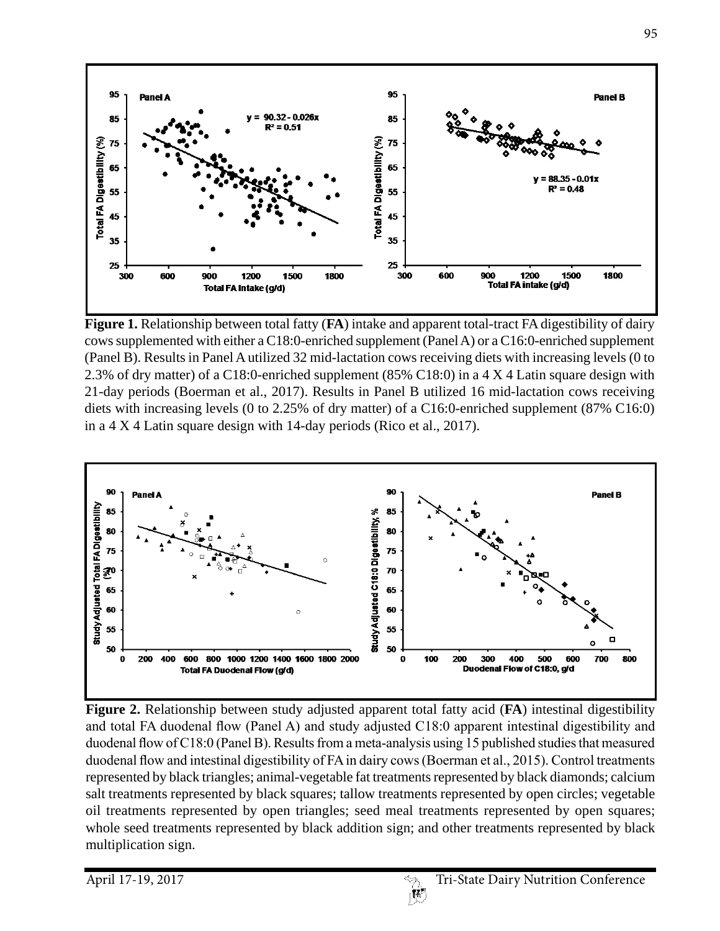

**Figure 1.** Relationship between total fatty (**FA**) intake and apparent total-tract FA digestibility of dairy cows supplemented with either a C18:0-enriched supplement (Panel A) or a C16:0-enriched supplement (Panel B). Results in Panel A utilized 32 mid-lactation cows receiving diets with increasing levels (0 to 2.3% of dry matter) of a C18:0-enriched supplement (85% C18:0) in a 4 X 4 Latin square design with 21-day periods (Boerman et al., 2017). Results in Panel B utilized 16 mid-lactation cows receiving diets with increasing levels (0 to 2.25% of dry matter) of a C16:0-enriched supplement (87% C16:0) in a 4 X 4 Latin square design with 14-day periods (Rico et al., 2017).



**Figure 2.** Relationship between study adjusted apparent total fatty acid (**FA**) intestinal digestibility and total FA duodenal flow (Panel A) and study adjusted C18:0 apparent intestinal digestibility and duodenal flow of C18:0 (Panel B). Results from a meta-analysis using 15 published studies that measured duodenal flow and intestinal digestibility of FA in dairy cows (Boerman et al., 2015). Control treatments represented by black triangles; animal-vegetable fat treatments represented by black diamonds; calcium salt treatments represented by black squares; tallow treatments represented by open circles; vegetable oil treatments represented by open triangles; seed meal treatments represented by open squares; whole seed treatments represented by black addition sign; and other treatments represented by black multiplication sign.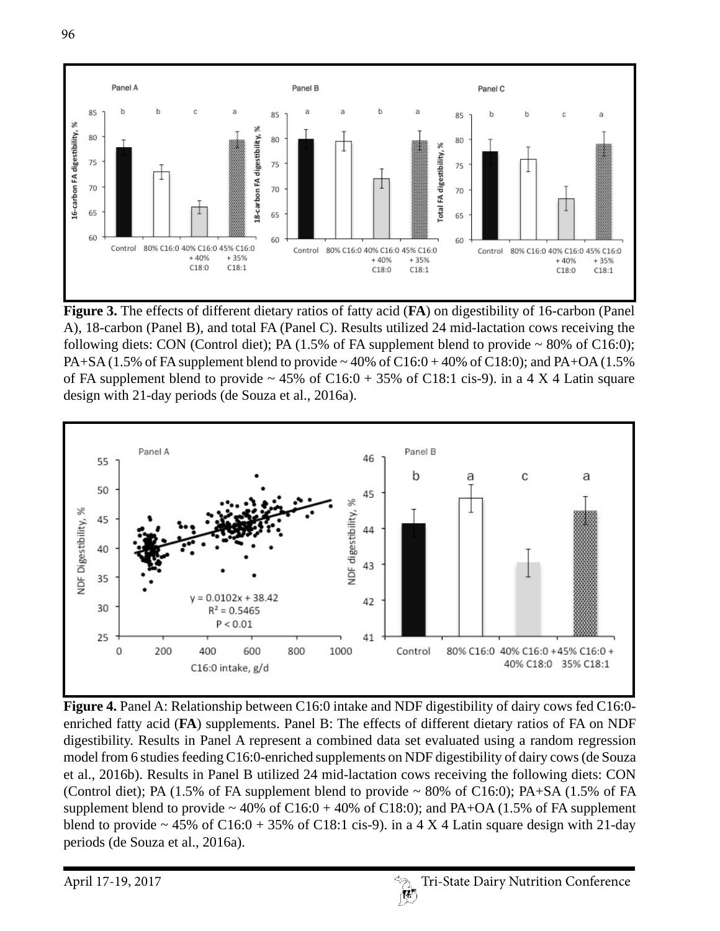

**Figure 3.** The effects of different dietary ratios of fatty acid (**FA**) on digestibility of 16-carbon (Panel A), 18-carbon (Panel B), and total FA (Panel C). Results utilized 24 mid-lactation cows receiving the following diets: CON (Control diet); PA (1.5% of FA supplement blend to provide ~ 80% of C16:0); PA+SA (1.5% of FA supplement blend to provide  $\sim$  40% of C16:0 + 40% of C18:0); and PA+OA (1.5% of FA supplement blend to provide  $\sim 45\%$  of C16:0 + 35% of C18:1 cis-9). in a 4 X 4 Latin square design with 21-day periods (de Souza et al., 2016a).



Figure 4. Panel A: Relationship between C16:0 intake and NDF digestibility of dairy cows fed C16:0enriched fatty acid (**FA**) supplements. Panel B: The effects of different dietary ratios of FA on NDF digestibility. Results in Panel A represent a combined data set evaluated using a random regression model from 6 studies feeding C16:0-enriched supplements on NDF digestibility of dairy cows (de Souza et al., 2016b). Results in Panel B utilized 24 mid-lactation cows receiving the following diets: CON (Control diet); PA (1.5% of FA supplement blend to provide  $\sim 80\%$  of C16:0); PA+SA (1.5% of FA supplement blend to provide  $\sim 40\%$  of C16:0 + 40% of C18:0); and PA+OA (1.5% of FA supplement blend to provide  $\sim$  45% of C16:0 + 35% of C18:1 cis-9). in a 4 X 4 Latin square design with 21-day periods (de Souza et al., 2016a).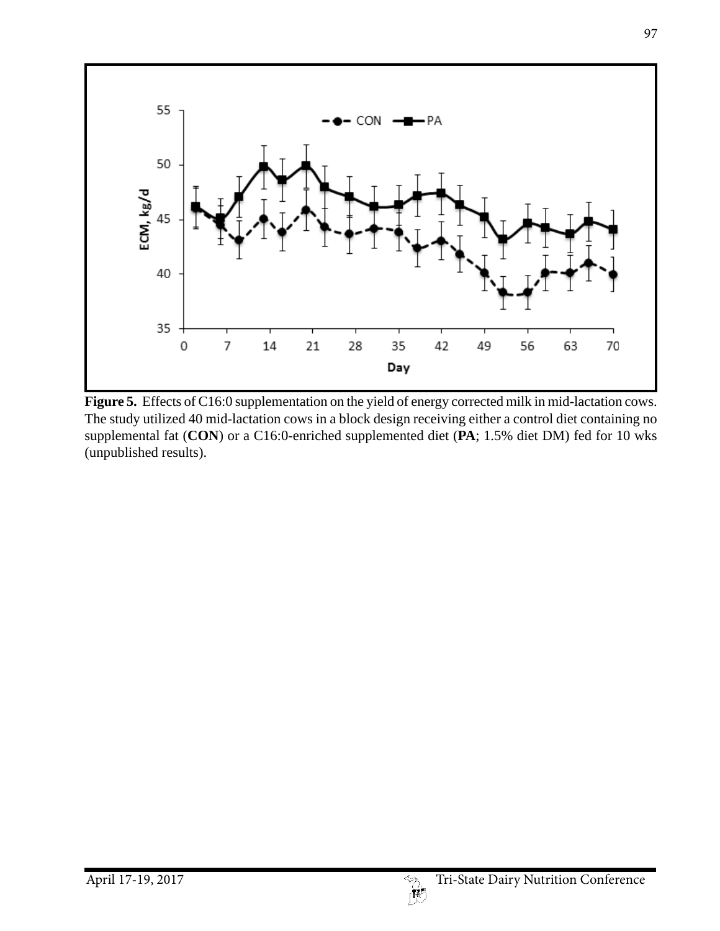

Figure 5. Effects of C16:0 supplementation on the yield of energy corrected milk in mid-lactation cows. The study utilized 40 mid-lactation cows in a block design receiving either a control diet containing no supplemental fat (**CON**) or a C16:0-enriched supplemented diet (**PA**; 1.5% diet DM) fed for 10 wks (unpublished results).